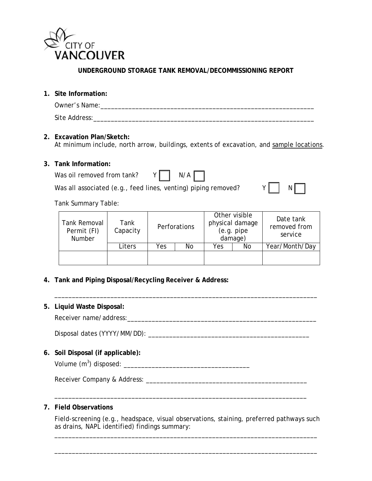

**UNDERGROUND STORAGE TANK REMOVAL/DECOMMISSIONING REPORT**

**1. Site Information:**

| Owner's Name: |  |  |  |
|---------------|--|--|--|
| Site Address: |  |  |  |

# **2. Excavation Plan/Sketch:**

At minimum include, north arrow, buildings, extents of excavation, and sample locations.

### **3. Tank Information:**

| Was oil removed from tank? | $Y \begin{bmatrix} N/A \end{bmatrix}$                          |  |
|----------------------------|----------------------------------------------------------------|--|
|                            | Was all associated (e.g., feed lines, venting) piping removed? |  |

|--|--|

Tank Summary Table:

| Tank Removal<br>Permit (FI)<br><b>Number</b> |  | Tank<br>Capacity |     | Perforations |     | Other visible<br>physical damage<br>(e.g. pipe<br>damage) | Date tank<br>removed from<br>service |  |
|----------------------------------------------|--|------------------|-----|--------------|-----|-----------------------------------------------------------|--------------------------------------|--|
|                                              |  | Liters           | Yes | No           | Yes | No                                                        | Year/Month/Day                       |  |
|                                              |  |                  |     |              |     |                                                           |                                      |  |

\_\_\_\_\_\_\_\_\_\_\_\_\_\_\_\_\_\_\_\_\_\_\_\_\_\_\_\_\_\_\_\_\_\_\_\_\_\_\_\_\_\_\_\_\_\_\_\_\_\_\_\_\_\_\_\_\_\_\_\_\_\_\_\_\_\_\_\_\_\_\_\_\_\_\_

**4. Tank and Piping Disposal/Recycling Receiver & Address:**

### **5. Liquid Waste Disposal:**

Receiver name/address: example and the set of the set of the set of the set of the set of the set of the set of the set of the set of the set of the set of the set of the set of the set of the set of the set of the set of

Disposal dates (YYYY/MM/DD): \_\_\_\_\_\_\_\_\_\_\_\_\_\_\_\_\_\_\_\_\_\_\_\_\_\_\_\_\_\_\_\_\_\_\_\_\_\_\_\_\_\_\_\_\_\_

**6. Soil Disposal (if applicable):**

Volume (m3 ) disposed: \_\_\_\_\_\_\_\_\_\_\_\_\_\_\_\_\_\_\_\_\_\_\_\_\_\_\_\_\_\_\_\_\_\_\_\_

Receiver Company & Address: \_\_\_\_\_\_\_\_\_\_\_\_\_\_\_\_\_\_\_\_\_\_\_\_\_\_\_\_\_\_\_\_\_\_\_\_\_\_\_\_\_\_\_\_\_\_

## **7. Field Observations**

Field-screening (e.g., headspace, visual observations, staining, preferred pathways such as drains, NAPL identified) findings summary:

\_\_\_\_\_\_\_\_\_\_\_\_\_\_\_\_\_\_\_\_\_\_\_\_\_\_\_\_\_\_\_\_\_\_\_\_\_\_\_\_\_\_\_\_\_\_\_\_\_\_\_\_\_\_\_\_\_\_\_\_\_\_\_\_\_\_\_\_\_\_\_\_\_\_\_

\_\_\_\_\_\_\_\_\_\_\_\_\_\_\_\_\_\_\_\_\_\_\_\_\_\_\_\_\_\_\_\_\_\_\_\_\_\_\_\_\_\_\_\_\_\_\_\_\_\_\_\_\_\_\_\_\_\_\_\_\_\_\_\_\_\_\_\_\_\_\_\_\_\_\_

\_\_\_\_\_\_\_\_\_\_\_\_\_\_\_\_\_\_\_\_\_\_\_\_\_\_\_\_\_\_\_\_\_\_\_\_\_\_\_\_\_\_\_\_\_\_\_\_\_\_\_\_\_\_\_\_\_\_\_\_\_\_\_\_\_\_\_\_\_\_\_\_